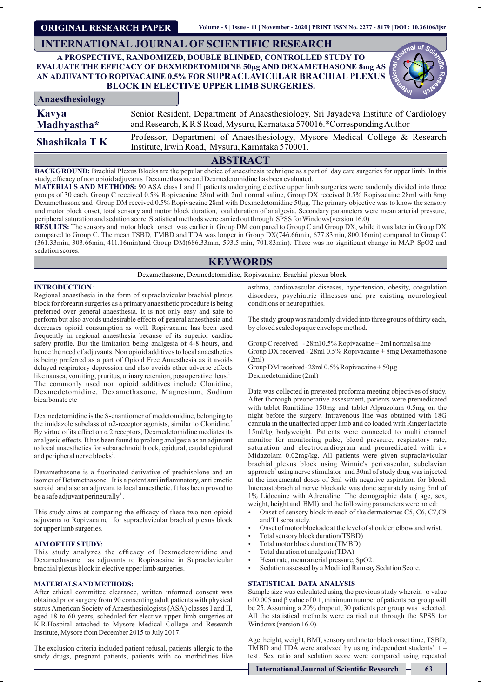**ORIGINAL RESEARCH PAPER**

# **INTERNATIONAL JOURNAL OF SCIENTIFIC RESEARCH**

## **A PROSPECTIVE, RANDOMIZED, DOUBLE BLINDED, CONTROLLED STUDY TO EVALUATE THE EFFICACY OF DEXMEDETOMIDINE 50µg AND DEXAMETHASONE 8mg AS AN ADJUVANT TO ROPIVACAINE 0.5% FOR SUPRACLAVICULAR BRACHIAL PLEXUS BLOCK IN ELECTIVE UPPER LIMB SURGERIES.**

| Anaesthesiology               |  |                                                                                                                                 |  |  |  |  |  |  |  |  |
|-------------------------------|--|---------------------------------------------------------------------------------------------------------------------------------|--|--|--|--|--|--|--|--|
| Kavya                         |  | Senior Resident, Department of Anaesthesiology, Sri Jayadeva Institute of Cardiology                                            |  |  |  |  |  |  |  |  |
| Madhyastha*                   |  | and Research, KRS Road, Mysuru, Karnataka 570016.*Corresponding Author                                                          |  |  |  |  |  |  |  |  |
| Shashikala T K                |  | Professor, Department of Anaesthesiology, Mysore Medical College & Research<br>Institute, Irwin Road, Mysuru, Karnataka 570001. |  |  |  |  |  |  |  |  |
| $\lambda$ dating $\lambda$ at |  |                                                                                                                                 |  |  |  |  |  |  |  |  |

**ABSTRACT**

**BACKGROUND:** Brachial Plexus Blocks are the popular choice of anaesthesia technique as a part of day care surgeries for upper limb. In this study, efficacy of non opioid adjuvants Dexamethasone and Dexmedetomidine has been evaluated.

**MATERIALS AND METHODS:** 90 ASA class I and II patients undergoing elective upper limb surgeries were randomly divided into three groups of 30 each. Group C received 0.5% Ropivacaine 28ml with 2ml normal saline, Group DX received 0.5% Ropivacaine 28ml with 8mg Dexamethasone and Group DM received 0.5% Ropivacaine 28ml with Dexmedetomidine 50µg. The primary objective was to know the sensory and motor block onset, total sensory and motor block duration, total duration of analgesia. Secondary parameters were mean arterial pressure, peripheral saturation and sedation score. Statistical methods were carried out through SPSS for Windows(version 16.0)

**RESULTS:** The sensory and motor block onset was earlier in Group DM compared to Group C and Group DX, while it was later in Group DX compared to Group C. The mean TSBD, TMBD and TDA was longer in Group DX(746.66min, 677.83min, 800.16min) compared to Group C (361.33min, 303.66min, 411.16min)and Group DM(686.33min, 593.5 min, 701.83min). There was no signicant change in MAP, SpO2 and sedation scores.

# **KEYWORDS**

Dexamethasone, Dexmedetomidine, Ropivacaine, Brachial plexus block

#### **INTRODUCTION :**

Regional anaesthesia in the form of supraclavicular brachial plexus block for forearm surgeries as a primary anaesthetic procedure is being preferred over general anaesthesia. It is not only easy and safe to perform but also avoids undesirable effects of general anaesthesia and decreases opioid consumption as well. Ropivacaine has been used frequently in regional anaesthesia because of its superior cardiac safety profile. But the limitation being analgesia of  $\overline{4-8}$  hours, and hence the need of adjuvants. Non opioid additives to local anaesthetics is being preferred as a part of Opioid Free Anaesthesia as it avoids delayed respiratory depression and also avoids other adverse effects like nausea, vomiting, pruritus, urinary retention, postoperative ileus.<sup>1</sup> The commonly used non opioid additives include Clonidine, Dexmedetomidine, Dexamethasone, Magnesium, Sodium bicarbonate etc

Dexmedetomidine is the S-enantiomer of medetomidine, belonging to the imidazole subclass of α2-receptor agonists, similar to Clonidine.<sup>2</sup> By virtue of its effect on  $\alpha$  2 receptors, Dexmedetomidine mediates its analgesic effects. It has been found to prolong analgesia as an adjuvant to local anaesthetics for subarachnoid block, epidural, caudal epidural and peripheral nerve blocks<sup>3</sup>.

Dexamethasone is a fluorinated derivative of prednisolone and an isomer of Betamethasone. It is a potent anti inflammatory, anti emetic steroid and also an adjuvant to local anaesthetic. It has been proved to be a safe adjuvant perineurally<sup>4</sup>.

This study aims at comparing the efficacy of these two non opioid adjuvants to Ropivacaine for supraclavicular brachial plexus block for upper limb surgeries.

#### **AIM OFTHE STUDY:**

This study analyzes the efficacy of Dexmedetomidine and Dexamethasone as adjuvants to Ropivacaine in Supraclavicular brachial plexus block in elective upper limb surgeries.

## **MATERIALS AND METHODS:**

After ethical committee clearance, written informed consent was obtained prior surgery from 90 consenting adult patients with physical status American Society of Anaesthesiologists (ASA) classes I and II, aged 18 to 60 years, scheduled for elective upper limb surgeries at K.R.Hospital attached to Mysore Medical College and Research Institute, Mysore from December 2015 to July 2017.

The exclusion criteria included patient refusal, patients allergic to the study drugs, pregnant patients, patients with co morbidities like

asthma, cardiovascular diseases, hypertension, obesity, coagulation disorders, psychiatric illnesses and pre existing neurological conditions or neuropathies.

The study group was randomly divided into three groups of thirty each, by closed sealed opaque envelope method.

Group C received - 28ml 0.5% Ropivacaine + 2ml normal saline Group DX received - 28ml 0.5% Ropivacaine + 8mg Dexamethasone (2ml)

Group DM received- 28ml 0.5% Ropivacaine + 50µg Dexmedetomidine (2ml)

Data was collected in pretested proforma meeting objectives of study. After thorough preoperative assessment, patients were premedicated with tablet Ranitidine 150mg and tablet Alprazolam 0.5mg on the night before the surgery. Intravenous line was obtained with 18G cannula in the unaffected upper limb and co loaded with Ringer lactate 15ml/kg bodyweight. Patients were connected to multi channel monitor for monitoring pulse, blood pressure, respiratory rate, saturation and electrocardiogram and premedicated with i.v Midazolam 0.02mg/kg. All patients were given supraclavicular brachial plexus block using Winnie's perivascular, subclavian approach<sup>5</sup> using nerve stimulator and 30ml of study drug was injected at the incremental doses of 3ml with negative aspiration for blood. Intercostobrachial nerve blockade was done separately using 5ml of 1% Lidocaine with Adrenaline. The demographic data ( age, sex, weight, height and BMI) and the following parameters were noted:

- Onset of sensory block in each of the dermatomes C5, C6, C7, C8 and T1 separately.
- Onset of motor blockade at the level of shoulder, elbow and wrist.
- Total sensory block duration(TSBD)
- Total motor block duration(TMBD)
- Total duration of analgesia(TDA)
- Heart rate, mean arterial pressure, SpO2.
- Sedation assessed by a Modified Ramsay Sedation Score.

## **STATISTICAL DATA ANALYSIS**

Sample size was calculated using the previous study wherein  $\alpha$  value of 0.005 and β value of 0.1, minimum number of patients per group will be 25. Assuming a 20% dropout, 30 patients per group was selected. All the statistical methods were carried out through the SPSS for Windows (version 16.0).

Age, height, weight, BMI, sensory and motor block onset time, TSBD, TMBD and TDA were analyzed by using independent students' t – test. Sex ratio and sedation score were compared using repeated

**International Journal of Scientific Research 63**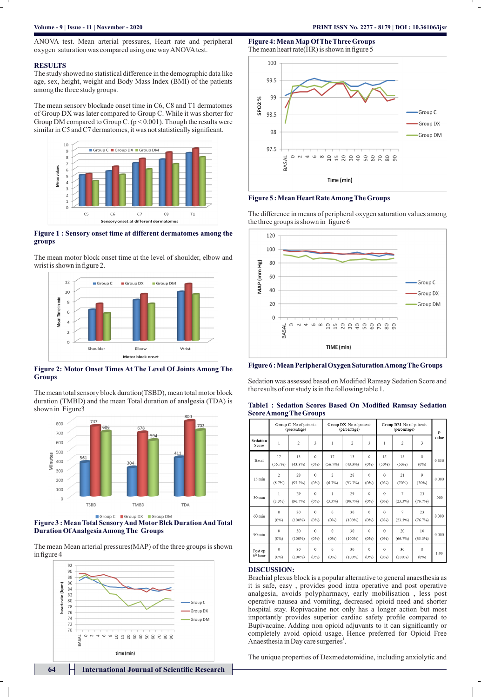#### **RESULTS**

The study showed no statistical difference in the demographic data like age, sex, height, weight and Body Mass Index (BMI) of the patients among the three study groups.

The mean sensory blockade onset time in C6, C8 and T1 dermatomes of Group DX was later compared to Group C. While it was shorter for Group DM compared to Group C.  $(p < 0.001)$ . Though the results were similar in C5 and C7 dermatomes, it was not statistically significant.



## **Figure 1 : Sensory onset time at different dermatomes among the groups**

The mean motor block onset time at the level of shoulder, elbow and wrist is shown in figure 2.



#### **Figure 2: Motor Onset Times At The Level Of Joints Among The Groups**

The mean total sensory block duration(TSBD), mean total motor block duration (TMBD) and the mean Total duration of analgesia (TDA) is shown in Figure3



**Figure 3 : Mean Total Sensory And MotorBlck Duration And Total Duration Of Analgesia Among The Groups**

The mean Mean arterial pressures(MAP) of the three groups is shown in figure 4



**Figure 4: Mean Map Of The Three Groups** The mean heart rate  $(HR)$  is shown in figure 5



#### **Figure 5 : Mean Heart Rate Among The Groups**

The difference in means of peripheral oxygen saturation values among the three groups is shown in figure 6





Sedation was assessed based on Modified Ramsay Sedation Score and the results of our study is in the following table 1.

|                                 | Group C No of patients<br>(percentage) |                  |                     | Group DX No of patients<br>(percentage) |                  |                         | Group DM No of patients<br>(percentage) |                 |                     | P     |
|---------------------------------|----------------------------------------|------------------|---------------------|-----------------------------------------|------------------|-------------------------|-----------------------------------------|-----------------|---------------------|-------|
| <b>Sedation</b><br>Score        | 1                                      | $\overline{c}$   | 3                   | 1                                       | $\overline{c}$   | $\overline{\mathbf{3}}$ | 1                                       | $\overline{c}$  | 3                   | value |
| Basal                           | 17<br>(56.7%)                          | 13<br>(43.3%)    | $\Omega$<br>(0%)    | 17<br>(56.7%)                           | 13<br>(43.3%)    | $\theta$<br>$(0\%)$     | 15<br>(50%                              | 15<br>(50%)     | $\Omega$<br>(0%)    | 0.836 |
| $15 \text{ min}$                | $\overline{2}$<br>$(6.7\%)$            | 28<br>$(93.3\%)$ | $\theta$<br>(0%)    | $\overline{c}$<br>(6.7%)                | 28<br>$(93.3\%)$ | $\Omega$<br>$(0\%)$     | $\theta$<br>$(0\%)$                     | 21<br>(70%)     | $\circ$<br>(30%)    | 0.000 |
| 30 min                          | 1<br>(3.3%)                            | 29<br>(96.7%)    | $\theta$<br>$(0\%)$ | 1<br>(3.3%)                             | 29<br>(96.7%)    | $\theta$<br>$(0\%)$     | $\Omega$<br>$(0\%)$                     | 7<br>(23.3%)    | 23<br>(76.7%)       | .000  |
| $60 \text{ min}$                | $\alpha$<br>$(0\%)$                    | 30<br>$(100\%)$  | $\Omega$<br>(0%)    | $\Omega$<br>$(0\%)$                     | 30<br>$(100\%)$  | $\Omega$<br>(0%         | $\Omega$<br>$(0\%)$                     | 7<br>(23.3%)    | 23<br>(76.7%)       | 0.000 |
| $90 \text{ min}$                | $\ddot{\Omega}$<br>$(0\%)$             | 30<br>$(100\%)$  | $\theta$<br>$(0\%)$ | $\Omega$<br>$(0\%)$                     | 30<br>$(100\%)$  | $\theta$<br>$(0\%)$     | $\theta$<br>$(0\%)$                     | 20<br>(66.7%)   | 10<br>(33.3%)       | 0.000 |
| Post op<br>6 <sup>th</sup> hour | $\theta$<br>$(0\%)$                    | 30<br>$(100\%)$  | $\theta$<br>$(0\%)$ | $\Omega$<br>$(0\%)$                     | 30<br>$(100\%)$  | $\theta$<br>$(0\%)$     | $\theta$<br>$(0\%)$                     | 30<br>$(100\%)$ | $\Omega$<br>$(0\%)$ | 1.00  |

#### **Table1 : Sedation Scores Based On Modified Ramsay Sedation Score Among The Groups**

## **DISCUSSION:**

Brachial plexus block is a popular alternative to general anaesthesia as it is safe, easy , provides good intra operative and post operative analgesia, avoids polypharmacy, early mobilisation , less post operative nausea and vomiting, decreased opioid need and shorter hospital stay. Ropivacaine not only has a longer action but most importantly provides superior cardiac safety profile compared to Bupivacaine. Adding non opioid adjuvants to it can significantly or completely avoid opioid usage. Hence preferred for Opioid Free Anaesthesia in Day care surgeries<sup>1</sup>.

The unique properties of Dexmedetomidine, including anxiolytic and